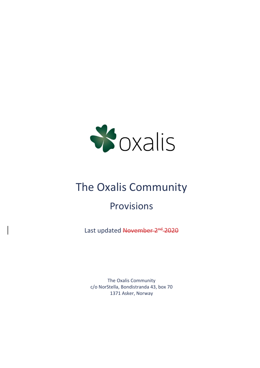

# The Oxalis Community

## Provisions

Last updated November 2<sup>nd</sup> 2020

The Oxalis Community c/o NorStella, Bondistranda 43, box 70 1371 Asker, Norway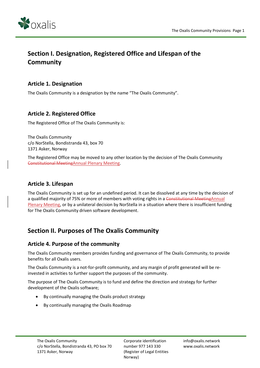

## Section I. Designation, Registered Office and Lifespan of the **Community**

#### Article 1. Designation

The Oxalis Community is a designation by the name "The Oxalis Community".

#### Article 2. Registered Office

The Registered Office of The Oxalis Community is:

The Oxalis Community c/o NorStella, Bondistranda 43, box 70 1371 Asker, Norway

The Registered Office may be moved to any other location by the decision of The Oxalis Community Constitutional MeetingAnnual Plenary Meeting.

#### Article 3. Lifespan

The Oxalis Community is set up for an undefined period. It can be dissolved at any time by the decision of a qualified majority of 75% or more of members with voting rights in a Constitutional MeetingAnnual Plenary Meeting, or by a unilateral decision by NorStella in a situation where there is insufficient funding for The Oxalis Community driven software development.

## Section II. Purposes of The Oxalis Community

#### Article 4. Purpose of the community

The Oxalis Community members provides funding and governance of The Oxalis Community, to provide benefits for all Oxalis users.

The Oxalis Community is a not-for-profit community, and any margin of profit generated will be reinvested in activities to further support the purposes of the community.

The purpose of The Oxalis Community is to fund and define the direction and strategy for further development of the Oxalis software;

- By continually managing the Oxalis product strategy
- By continually managing the Oxalis Roadmap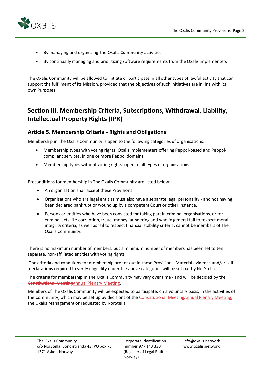

- By managing and organising The Oxalis Community activities
- By continually managing and prioritizing software requirements from the Oxalis implementers

The Oxalis Community will be allowed to initiate or participate in all other types of lawful activity that can support the fulfilment of its Mission, provided that the objectives of such initiatives are in line with its own Purposes.

## Section III. Membership Criteria, Subscriptions, Withdrawal, Liability, Intellectual Property Rights (IPR)

#### Article 5. Membership Criteria - Rights and Obligations

Membership in The Oxalis Community is open to the following categories of organisations:

- Membership types with voting rights: Oxalis implementers offering Peppol-based and Peppolcompliant services, in one or more Peppol domains.
- Membership types without voting rights: open to all types of organisations.

Preconditions for membership in The Oxalis Community are listed below:

- An organisation shall accept these Provisions
- Organisations who are legal entities must also have a separate legal personality and not having been declared bankrupt or wound up by a competent Court or other instance.
- Persons or entities who have been convicted for taking part in criminal organisations, or for criminal acts like corruption, fraud, money laundering and who in general fail to respect moral integrity criteria, as well as fail to respect financial stability criteria, cannot be members of The Oxalis Community.

There is no maximum number of members, but a minimum number of members has been set to ten separate, non-affiliated entities with voting rights.

The criteria and conditions for membership are set out in these Provisions. Material evidence and/or selfdeclarations required to verify eligibility under the above categories will be set out by NorStella.

The criteria for membership in The Oxalis Community may vary over time - and will be decided by the Constitutional MeetingAnnual Plenary Meeting.

Members of The Oxalis Community will be expected to participate, on a voluntary basis, in the activities of the Community, which may be set up by decisions of the Constitutional MeetingAnnual Plenary Meeting, the Oxalis Management or requested by NorStella.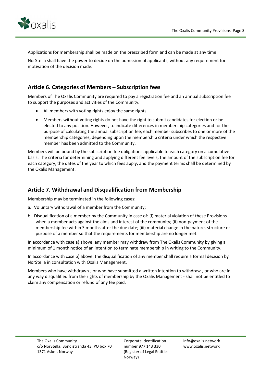

Applications for membership shall be made on the prescribed form and can be made at any time.

NorStella shall have the power to decide on the admission of applicants, without any requirement for motivation of the decision made.

#### Article 6. Categories of Members – Subscription fees

Members of The Oxalis Community are required to pay a registration fee and an annual subscription fee to support the purposes and activities of the Community.

- All members with voting rights enjoy the same rights.
- Members without voting rights do not have the right to submit candidates for election or be elected to any position. However, to indicate differences in membership categories and for the purpose of calculating the annual subscription fee, each member subscribes to one or more of the membership categories, depending upon the membership criteria under which the respective member has been admitted to the Community.

Members will be bound by the subscription fee obligations applicable to each category on a cumulative basis. The criteria for determining and applying different fee levels, the amount of the subscription fee for each category, the dates of the year to which fees apply, and the payment terms shall be determined by the Oxalis Management.

#### Article 7. Withdrawal and Disqualification from Membership

Membership may be terminated in the following cases:

- a. Voluntary withdrawal of a member from the Community;
- b. Disqualification of a member by the Community in case of: (i) material violation of these Provisions when a member acts against the aims and interest of the community; (ii) non-payment of the membership fee within 3 months after the due date; (iii) material change in the nature, structure or purpose of a member so that the requirements for membership are no longer met.

In accordance with case a) above, any member may withdraw from The Oxalis Community by giving a minimum of 1 month notice of an intention to terminate membership in writing to the Community.

In accordance with case b) above, the disqualification of any member shall require a formal decision by NorStella in consultation with Oxalis Management.

Members who have withdrawn-, or who have submitted a written intention to withdraw-, or who are in any way disqualified from the rights of membership by the Oxalis Management - shall not be entitled to claim any compensation or refund of any fee paid.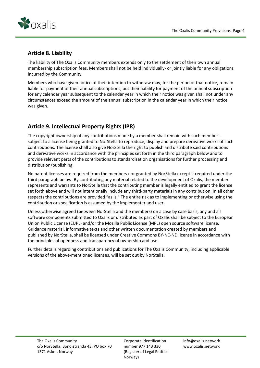

#### Article 8. Liability

The liability of The Oxalis Community members extends only to the settlement of their own annual membership subscription fees. Members shall not be held individually- or jointly liable for any obligations incurred by the Community.

Members who have given notice of their intention to withdraw may, for the period of that notice, remain liable for payment of their annual subscriptions, but their liability for payment of the annual subscription for any calendar year subsequent to the calendar year in which their notice was given shall not under any circumstances exceed the amount of the annual subscription in the calendar year in which their notice was given.

#### Article 9. Intellectual Property Rights (IPR)

The copyright ownership of any contributions made by a member shall remain with such member subject to a license being granted to NorStella to reproduce, display and prepare derivative works of such contributions. The license shall also give NorStella the right to publish and distribute said contributions and derivative works in accordance with the principles set forth in the third paragraph below and to provide relevant parts of the contributions to standardisation organisations for further processing and distribution/publishing.

No patent licenses are required from the members nor granted by NorStella except if required under the third paragraph below. By contributing any material related to the development of Oxalis, the member represents and warrants to NorStella that the contributing member is legally entitled to grant the license set forth above and will not intentionally include any third-party materials in any contribution. In all other respects the contributions are provided "as is." The entire risk as to implementing or otherwise using the contribution or specification is assumed by the implementer and user.

Unless otherwise agreed (between NorStella and the members) on a case by case basis, any and all software components submitted to Oxalis or distributed as part of Oxalis shall be subject to the European Union Public License (EUPL) and/or the Mozilla Public License (MPL) open source software license. Guidance material, informative texts and other written documentation created by members and published by NorStella, shall be licensed under Creative Commons BY-NC-ND license in accordance with the principles of openness and transparency of ownership and use.

Further details regarding contributions and publications for The Oxalis Community, including applicable versions of the above-mentioned licenses, will be set out by NorStella.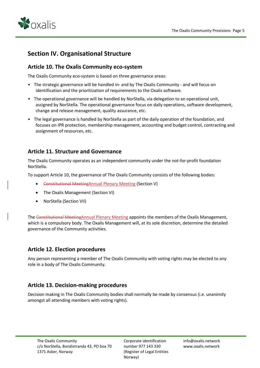

## Section IV. Organisational Structure

#### Article 10. The Oxalis Community eco-system

The Oxalis Community eco-system is based on three governance areas:

- The strategic governance will be handled in- and by The Oxalis Community and will focus on identification and the prioritization of requirements to the Oxalis software.
- The operational governance will be handled by NorStella, via delegation to an operational unit, assigned by NorStella. The operational governance focus on daily operations, software development, change and release management, quality assurance, etc.
- The legal governance is handled by NorStella as part of the daily operation of the foundation, and focuses on IPR protection, membership management, accounting and budget control, contracting and assignment of resources, etc.

#### Article 11. Structure and Governance

The Oxalis Community operates as an independent community under the not-for-profit foundation NorStella.

To support Article 10, the governance of The Oxalis Community consists of the following bodies:

- Constitutional MeetingAnnual Plenary Meeting (Section V)
- The Oxalis Management (Section VI)
- NorStella (Section VII)

The Constitutional Meeting Annual Plenary Meeting appoints the members of the Oxalis Management, which is a compulsory body. The Oxalis Management will, at its sole discretion, determine the detailed governance of the Community activities.

#### Article 12. Election procedures

Any person representing a member of The Oxalis Community with voting rights may be elected to any role in a body of The Oxalis Community.

#### Article 13. Decision-making procedures

Decision making in The Oxalis Community bodies shall normally be made by consensus (i.e. unanimity amongst all attending members with voting rights).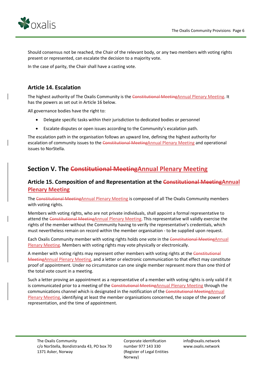

Should consensus not be reached, the Chair of the relevant body, or any two members with voting rights present or represented, can escalate the decision to a majority vote.

In the case of parity, the Chair shall have a casting vote.

#### Article 14. Escalation

The highest authority of The Oxalis Community is the Constitutional MeetingAnnual Plenary Meeting. It has the powers as set out in Article 16 below.

All governance bodies have the right to:

- Delegate specific tasks within their jurisdiction to dedicated bodies or personnel
- Escalate disputes or open issues according to the Community's escalation path.

The escalation path in the organisation follows an upward line, defining the highest authority for escalation of community issues to the Constitutional MeetingAnnual Plenary Meeting and operational issues to NorStella.

## Section V. The Constitutional Meeting Annual Plenary Meeting

#### Article 15. Composition of and Representation at the **Constitutional Meeting**Annual Plenary Meeting

The Constitutional MeetingAnnual Plenary Meeting is composed of all The Oxalis Community members with voting rights.

Members with voting rights, who are not private individuals, shall appoint a formal representative to attend the Constitutional MeetingAnnual Plenary Meeting. This representative will validly exercise the rights of the member without the Community having to verify the representative's credentials, which must nevertheless remain on record within the member organisation - to be supplied upon request.

Each Oxalis Community member with voting rights holds one vote in the Constitutional MeetingAnnual **Plenary Meeting. Members with voting rights may vote physically or electronically.** 

A member with voting rights may represent other members with voting rights at the Constitutional MeetingAnnual Plenary Meeting, and a letter or electronic communication to that effect may constitute proof of appointment. Under no circumstance can one single member represent more than one third of the total vote count in a meeting.

Such a letter proving an appointment as a representative of a member with voting rights is only valid if it is communicated prior to a meeting of the Constitutional MeetingAnnual Plenary Meeting through the communications channel which is designated in the notification of the Constitutional MeetingAnnual Plenary Meeting, identifying at least the member organisations concerned, the scope of the power of representation, and the time of appointment.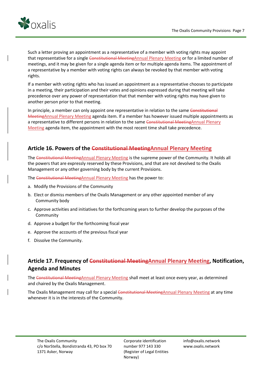

Such a letter proving an appointment as a representative of a member with voting rights may appoint that representative for a single Constitutional MeetingAnnual Plenary Meeting or for a limited number of meetings, and it may be given for a single agenda item or for multiple agenda items. The appointment of a representative by a member with voting rights can always be revoked by that member with voting rights.

If a member with voting rights who has issued an appointment as a representative chooses to participate in a meeting, their participation and their votes and opinions expressed during that meeting will take precedence over any power of representation that that member with voting rights may have given to another person prior to that meeting.

In principle, a member can only appoint one representative in relation to the same Constitutional MeetingAnnual Plenary Meeting agenda item. If a member has however issued multiple appointments as a representative to different persons in relation to the same Constitutional MeetingAnnual Plenary Meeting agenda item, the appointment with the most recent time shall take precedence.

#### Article 16. Powers of the Constitutional Meeting Annual Plenary Meeting

The Constitutional MeetingAnnual Plenary Meeting is the supreme power of the Community. It holds all the powers that are expressly reserved by these Provisions, and that are not devolved to the Oxalis Management or any other governing body by the current Provisions.

The Constitutional Meeting Annual Plenary Meeting has the power to:

- a. Modify the Provisions of the Community
- b. Elect or dismiss members of the Oxalis Management or any other appointed member of any Community body
- c. Approve activities and initiatives for the forthcoming years to further develop the purposes of the Community
- d. Approve a budget for the forthcoming fiscal year
- e. Approve the accounts of the previous fiscal year
- f. Dissolve the Community.

#### Article 17. Frequency of Constitutional MeetingAnnual Plenary Meeting, Notification, Agenda and Minutes

The Constitutional MeetingAnnual Plenary Meeting shall meet at least once every year, as determined and chaired by the Oxalis Management.

The Oxalis Management may call for a special Constitutional MeetingAnnual Plenary Meeting at any time whenever it is in the interests of the Community.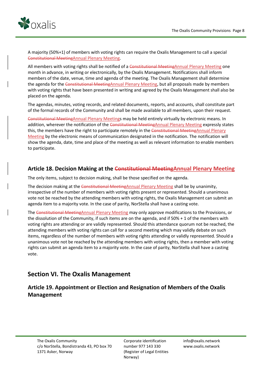

A majority (50%+1) of members with voting rights can require the Oxalis Management to call a special Constitutional MeetingAnnual Plenary Meeting.

All members with voting rights shall be notified of a Constitutional MeetingAnnual Plenary Meeting one month in advance, in writing or electronically, by the Oxalis Management. Notifications shall inform members of the date, venue, time and agenda of the meeting. The Oxalis Management shall determine the agenda for the Constitutional MeetingAnnual Plenary Meeting, but all proposals made by members with voting rights that have been presented in writing and agreed by the Oxalis Management shall also be placed on the agenda.

The agendas, minutes, voting records, and related documents, reports, and accounts, shall constitute part of the formal records of the Community and shall be made available to all members, upon their request.

Constitutional MeetingAnnual Plenary Meetings may be held entirely virtually by electronic means. In addition, wherever the notification of the Constitutional MeetingAnnual Plenary Meeting expressly states this, the members have the right to participate remotely in the Constitutional MeetingAnnual Plenary Meeting by the electronic means of communication designated in the notification. The notification will show the agenda, date, time and place of the meeting as well as relevant information to enable members to participate.

#### Article 18. Decision Making at the Constitutional MeetingAnnual Plenary Meeting

The only items, subject to decision making, shall be those specified on the agenda.

The decision making at the Constitutional MeetingAnnual Plenary Meeting shall be by unanimity, irrespective of the number of members with voting rights present or represented. Should a unanimous vote not be reached by the attending members with voting rights, the Oxalis Management can submit an agenda item to a majority vote. In the case of parity, NorStella shall have a casting vote.

The Constitutional Meeting Annual Plenary Meeting may only approve modifications to the Provisions, or the dissolution of the Community, if such items are on the agenda, and if 50% + 1 of the members with voting rights are attending or are validly represented. Should this attendance quorum not be reached, the attending members with voting rights can call for a second meeting which may validly debate on such items, regardless of the number of members with voting rights attending or validly represented. Should a unanimous vote not be reached by the attending members with voting rights, then a member with voting rights can submit an agenda item to a majority vote. In the case of parity, NorStella shall have a casting vote.

#### Section VI. The Oxalis Management

#### Article 19. Appointment or Election and Resignation of Members of the Oxalis Management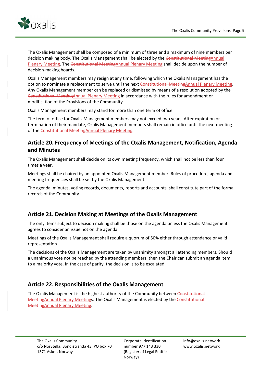

The Oxalis Management shall be composed of a minimum of three and a maximum of nine members per decision making body. The Oxalis Management shall be elected by the Constitutional MeetingAnnual Plenary Meeting. The Constitutional MeetingAnnual Plenary Meeting shall decide upon the number of decision-making boards.

Oxalis Management members may resign at any time, following which the Oxalis Management has the option to nominate a replacement to serve until the next Constitutional MeetingAnnual Plenary Meeting. Any Oxalis Management member can be replaced or dismissed by means of a resolution adopted by the Constitutional MeetingAnnual Plenary Meeting in accordance with the rules for amendment or modification of the Provisions of the Community.

Oxalis Management members may stand for more than one term of office.

The term of office for Oxalis Management members may not exceed two years. After expiration or termination of their mandate, Oxalis Management members shall remain in office until the next meeting of the Constitutional MeetingAnnual Plenary Meeting.

#### Article 20. Frequency of Meetings of the Oxalis Management, Notification, Agenda and Minutes

The Oxalis Management shall decide on its own meeting frequency, which shall not be less than four times a year.

Meetings shall be chaired by an appointed Oxalis Management member. Rules of procedure, agenda and meeting frequencies shall be set by the Oxalis Management.

The agenda, minutes, voting records, documents, reports and accounts, shall constitute part of the formal records of the Community.

#### Article 21. Decision Making at Meetings of the Oxalis Management

The only items subject to decision making shall be those on the agenda unless the Oxalis Management agrees to consider an issue not on the agenda.

Meetings of the Oxalis Management shall require a quorum of 50% either through attendance or valid representation.

The decisions of the Oxalis Management are taken by unanimity amongst all attending members. Should a unanimous vote not be reached by the attending members, then the Chair can submit an agenda item to a majority vote. In the case of parity, the decision is to be escalated.

#### Article 22. Responsibilities of the Oxalis Management

The Oxalis Management is the highest authority of the Community between Constitutional MeetingAnnual Plenary Meetings. The Oxalis Management is elected by the Constitutional MeetingAnnual Plenary Meeting.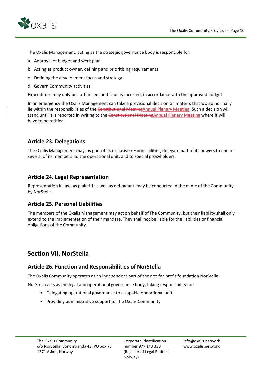



The Oxalis Management, acting as the strategic governance body is responsible for:

- a. Approval of budget and work plan
- b. Acting as product owner, defining and prioritizing requirements
- c. Defining the development focus and strategy
- d. Govern Community activities

Expenditure may only be authorised, and liability incurred, in accordance with the approved budget.

In an emergency the Oxalis Management can take a provisional decision on matters that would normally lie within the responsibilities of the Constitutional MeetingAnnual Plenary Meeting. Such a decision will stand until it is reported in writing to the Constitutional MeetingAnnual Plenary Meeting where it will have to be ratified.

#### Article 23. Delegations

The Oxalis Management may, as part of its exclusive responsibilities, delegate part of its powers to one or several of its members, to the operational unit, and to special proxyholders.

#### Article 24. Legal Representation

Representation in law, as plaintiff as well as defendant, may be conducted in the name of the Community by NorStella.

#### Article 25. Personal Liabilities

The members of the Oxalis Management may act on behalf of The Community, but their liability shall only extend to the implementation of their mandate. They shall not be liable for the liabilities or financial obligations of the Community.

## Section VII. NorStella

#### Article 26. Function and Responsibilities of NorStella

The Oxalis Community operates as an independent part of the not-for-profit foundation NorStella.

NorStella acts as the legal and operational governance body, taking responsibility for:

- Delegating operational governance to a capable operational unit
- Providing administrative support to The Oxalis Community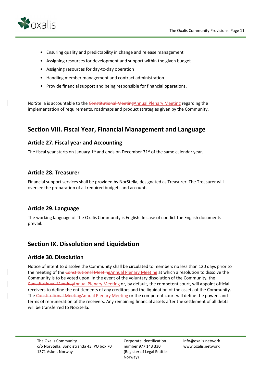

- Ensuring quality and predictability in change and release management
- Assigning resources for development and support within the given budget
- Assigning resources for day-to-day operation
- Handling member management and contract administration
- Provide financial support and being responsible for financial operations.

NorStella is accountable to the Constitutional MeetingAnnual Plenary Meeting regarding the implementation of requirements, roadmaps and product strategies given by the Community.

## Section VIII. Fiscal Year, Financial Management and Language

#### Article 27. Fiscal year and Accounting

The fiscal year starts on January  $1<sup>st</sup>$  and ends on December 31 $<sup>st</sup>$  of the same calendar year.</sup>

#### Article 28. Treasurer

Financial support services shall be provided by NorStella, designated as Treasurer. The Treasurer will oversee the preparation of all required budgets and accounts.

#### Article 29. Language

The working language of The Oxalis Community is English. In case of conflict the English documents prevail.

## Section IX. Dissolution and Liquidation

#### Article 30. Dissolution

Notice of intent to dissolve the Community shall be circulated to members no less than 120 days prior to the meeting of the Constitutional MeetingAnnual Plenary Meeting at which a resolution to dissolve the Community is to be voted upon. In the event of the voluntary dissolution of the Community, the Constitutional MeetingAnnual Plenary Meeting or, by default, the competent court, will appoint official receivers to define the entitlements of any creditors and the liquidation of the assets of the Community. The Constitutional MeetingAnnual Plenary Meeting or the competent court will define the powers and terms of remuneration of the receivers. Any remaining financial assets after the settlement of all debts will be transferred to NorStella.

Corporate identification number 977 143 330 (Register of Legal Entities Norway)

info@oxalis.network www.oxalis.network